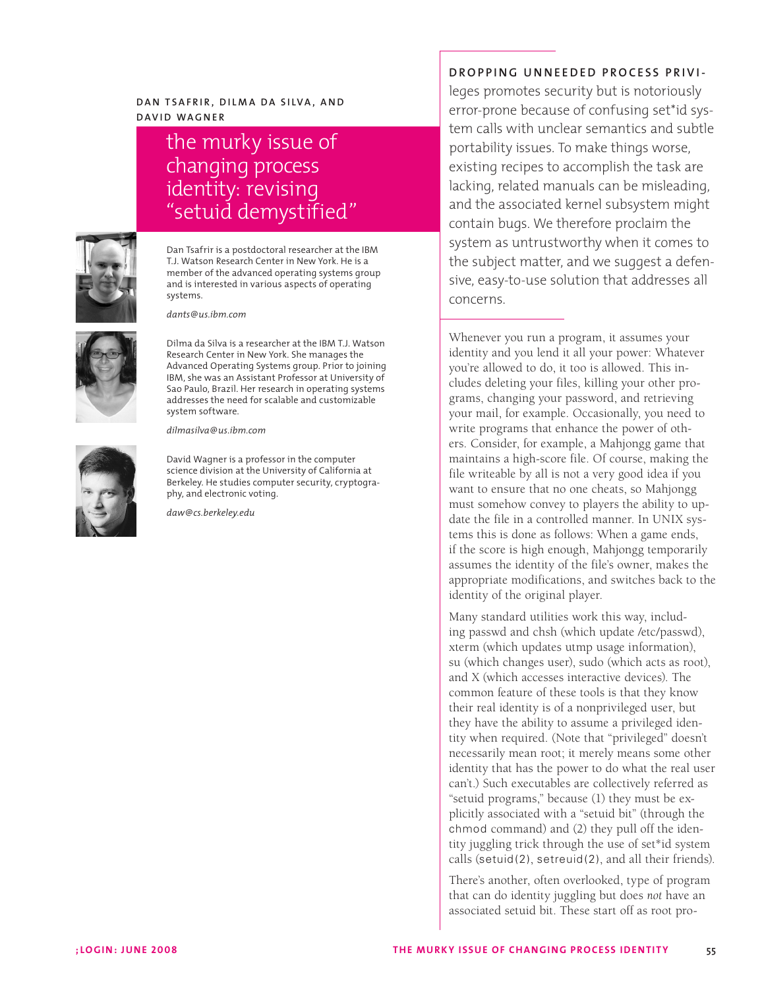# **Da n T s a fr i r , Di l m a Da S i lv a , a n d Da v i d Wag n e r**

# the murky issue of changing process identity: revising "setuid demystified"



Dan Tsafrir is a postdoctoral researcher at the IBM T.J. Watson Research Center in New York. He is a member of the advanced operating systems group and is interested in various aspects of operating systems.

*dants@us.ibm.com*



Dilma da Silva is a researcher at the IBM T.J. Watson Research Center in New York. She manages the Advanced Operating Systems group. Prior to joining IBM, she was an Assistant Professor at University of Sao Paulo, Brazil. Her research in operating systems addresses the need for scalable and customizable system software.

*dilmasilva@us.ibm.com*



David Wagner is a professor in the computer science division at the University of California at Berkeley. He studies computer security, cryptography, and electronic voting.

*daw@cs.berkeley.edu*

# **DROPPING UNNEEDED PROCESS PRIVI-**

leges promotes security but is notoriously error-prone because of confusing set\*id system calls with unclear semantics and subtle portability issues. To make things worse, existing recipes to accomplish the task are lacking, related manuals can be misleading, and the associated kernel subsystem might contain bugs. We therefore proclaim the system as untrustworthy when it comes to the subject matter, and we suggest a defensive, easy-to-use solution that addresses all concerns.

Whenever you run a program, it assumes your identity and you lend it all your power: Whatever you're allowed to do, it too is allowed. This includes deleting your files, killing your other programs, changing your password, and retrieving your mail, for example. Occasionally, you need to write programs that enhance the power of others. Consider, for example, a Mahjongg game that maintains a high-score file. Of course, making the file writeable by all is not a very good idea if you want to ensure that no one cheats, so Mahjongg must somehow convey to players the ability to update the file in a controlled manner. In UNIX systems this is done as follows: When a game ends, if the score is high enough, Mahjongg temporarily assumes the identity of the file's owner, makes the appropriate modifications, and switches back to the identity of the original player.

Many standard utilities work this way, including passwd and chsh (which update /etc/passwd), xterm (which updates utmp usage information), su (which changes user), sudo (which acts as root), and X (which accesses interactive devices). The common feature of these tools is that they know their real identity is of a nonprivileged user, but they have the ability to assume a privileged identity when required. (Note that "privileged" doesn't necessarily mean root; it merely means some other identity that has the power to do what the real user can't.) Such executables are collectively referred as "setuid programs," because (1) they must be explicitly associated with a "setuid bit" (through the chmod command) and (2) they pull off the identity juggling trick through the use of set\*id system calls (setuid(2), setreuid(2), and all their friends).

There's another, often overlooked, type of program that can do identity juggling but does *not* have an associated setuid bit. These start off as root pro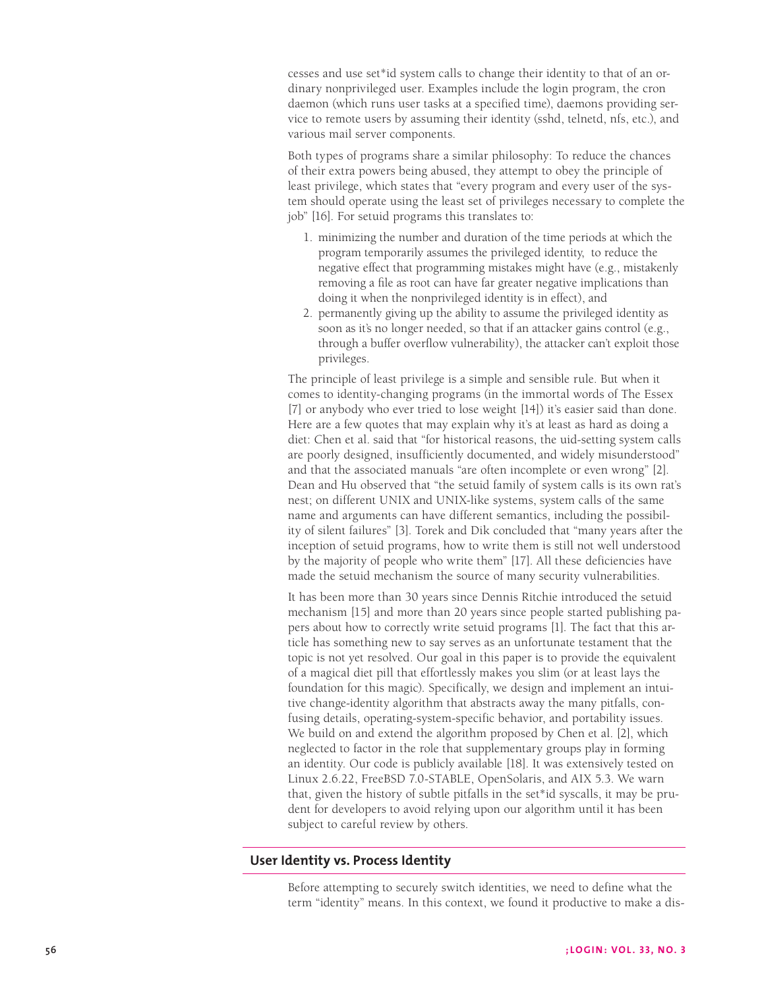cesses and use set\*id system calls to change their identity to that of an ordinary nonprivileged user. Examples include the login program, the cron daemon (which runs user tasks at a specified time), daemons providing service to remote users by assuming their identity (sshd, telnetd, nfs, etc.), and various mail server components.

Both types of programs share a similar philosophy: To reduce the chances of their extra powers being abused, they attempt to obey the principle of least privilege, which states that "every program and every user of the system should operate using the least set of privileges necessary to complete the job" [16]. For setuid programs this translates to:

- 1. minimizing the number and duration of the time periods at which the program temporarily assumes the privileged identity, to reduce the negative effect that programming mistakes might have (e.g., mistakenly removing a file as root can have far greater negative implications than doing it when the nonprivileged identity is in effect), and
- 2. permanently giving up the ability to assume the privileged identity as soon as it's no longer needed, so that if an attacker gains control (e.g., through a buffer overflow vulnerability), the attacker can't exploit those privileges.

The principle of least privilege is a simple and sensible rule. But when it comes to identity-changing programs (in the immortal words of The Essex [7] or anybody who ever tried to lose weight [14]) it's easier said than done. Here are a few quotes that may explain why it's at least as hard as doing a diet: Chen et al. said that "for historical reasons, the uid-setting system calls are poorly designed, insufficiently documented, and widely misunderstood" and that the associated manuals "are often incomplete or even wrong" [2]. Dean and Hu observed that "the setuid family of system calls is its own rat's nest; on different UNIX and UNIX-like systems, system calls of the same name and arguments can have different semantics, including the possibility of silent failures" [3]. Torek and Dik concluded that "many years after the inception of setuid programs, how to write them is still not well understood by the majority of people who write them" [17]. All these deficiencies have made the setuid mechanism the source of many security vulnerabilities.

It has been more than 30 years since Dennis Ritchie introduced the setuid mechanism [15] and more than 20 years since people started publishing papers about how to correctly write setuid programs [1]. The fact that this article has something new to say serves as an unfortunate testament that the topic is not yet resolved. Our goal in this paper is to provide the equivalent of a magical diet pill that effortlessly makes you slim (or at least lays the foundation for this magic). Specifically, we design and implement an intuitive change-identity algorithm that abstracts away the many pitfalls, confusing details, operating-system-specific behavior, and portability issues. We build on and extend the algorithm proposed by Chen et al. [2], which neglected to factor in the role that supplementary groups play in forming an identity. Our code is publicly available [18]. It was extensively tested on Linux 2.6.22, FreeBSD 7.0-STABLE, OpenSolaris, and AIX 5.3. We warn that, given the history of subtle pitfalls in the set\*id syscalls, it may be prudent for developers to avoid relying upon our algorithm until it has been subject to careful review by others.

# **User Identity vs. Process Identity**

Before attempting to securely switch identities, we need to define what the term "identity" means. In this context, we found it productive to make a dis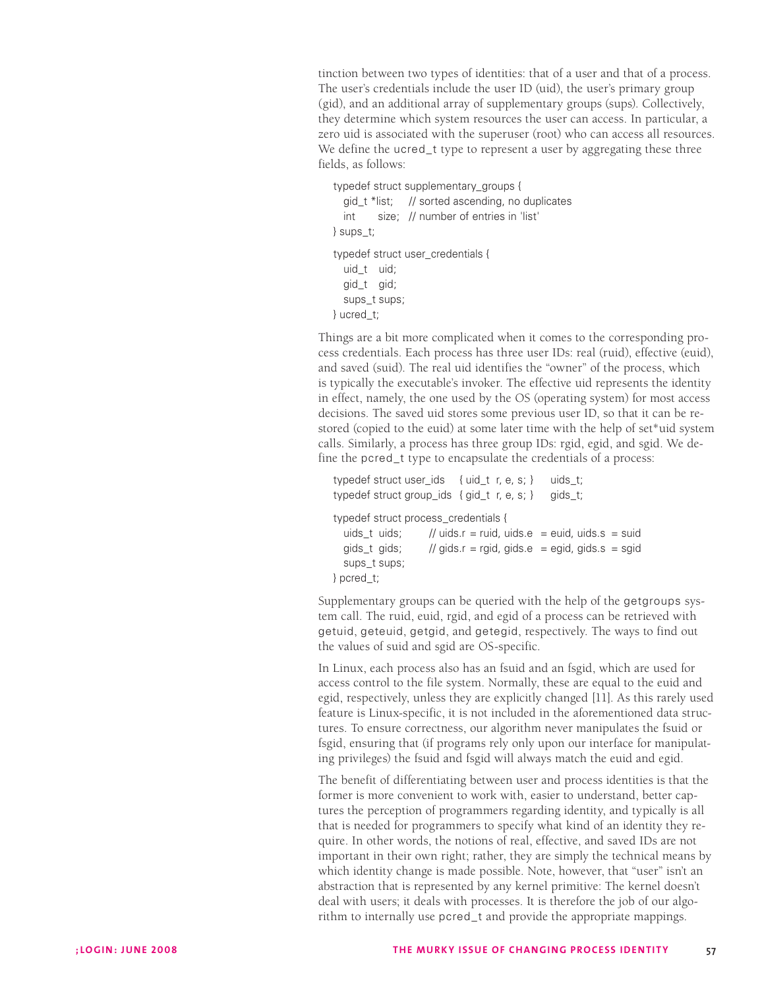tinction between two types of identities: that of a user and that of a process. The user's credentials include the user ID (uid), the user's primary group (gid), and an additional array of supplementary groups (sups). Collectively, they determine which system resources the user can access. In particular, a zero uid is associated with the superuser (root) who can access all resources. We define the ucred\_t type to represent a user by aggregating these three fields, as follows:

typedef struct supplementary\_groups {

```
gid_t *list; // sorted ascending, no duplicates 
  int size; // number of entries in 'list'
} sups_t; 
typedef struct user_credentials {
  uid_t uid; 
  gid_t gid; 
  sups_t sups; 
} ucred_t;
```
Things are a bit more complicated when it comes to the corresponding process credentials. Each process has three user IDs: real (ruid), effective (euid), and saved (suid). The real uid identifies the "owner" of the process, which is typically the executable's invoker. The effective uid represents the identity in effect, namely, the one used by the OS (operating system) for most access decisions. The saved uid stores some previous user ID, so that it can be restored (copied to the euid) at some later time with the help of set\*uid system calls. Similarly, a process has three group IDs: rgid, egid, and sgid. We define the pcred\_t type to encapsulate the credentials of a process:

```
typedef struct user ids { uid t r, e, s; } uids t;
typedef struct group_ids { gid_t r, e, s; } gids_t;
```
typedef struct process\_credentials {

```
uids t uids; // uids.r = ruid, uids.e = euid, uids.s = suid
  gids_t gids; // gids.r = rgid, gids.e = egid, gids.s = sgid
  sups t sups;
} pcred_t;
```
Supplementary groups can be queried with the help of the getgroups system call. The ruid, euid, rgid, and egid of a process can be retrieved with getuid, geteuid, getgid, and getegid, respectively. The ways to find out the values of suid and sgid are OS-specific.

In Linux, each process also has an fsuid and an fsgid, which are used for access control to the file system. Normally, these are equal to the euid and egid, respectively, unless they are explicitly changed [11]. As this rarely used feature is Linux-specific, it is not included in the aforementioned data structures. To ensure correctness, our algorithm never manipulates the fsuid or fsgid, ensuring that (if programs rely only upon our interface for manipulating privileges) the fsuid and fsgid will always match the euid and egid.

The benefit of differentiating between user and process identities is that the former is more convenient to work with, easier to understand, better captures the perception of programmers regarding identity, and typically is all that is needed for programmers to specify what kind of an identity they require. In other words, the notions of real, effective, and saved IDs are not important in their own right; rather, they are simply the technical means by which identity change is made possible. Note, however, that "user" isn't an abstraction that is represented by any kernel primitive: The kernel doesn't deal with users; it deals with processes. It is therefore the job of our algorithm to internally use pcred\_t and provide the appropriate mappings.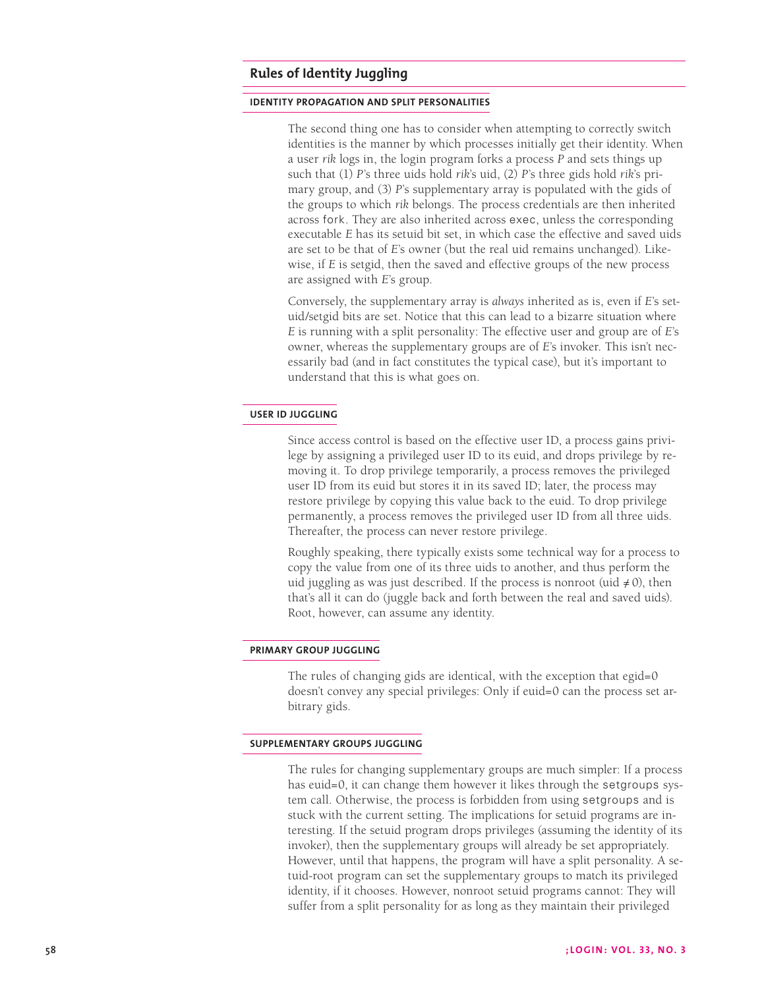# **Rules of Identity Juggling**

## **identity propagation and split personalities**

The second thing one has to consider when attempting to correctly switch identities is the manner by which processes initially get their identity. When a user *rik* logs in, the login program forks a process *P* and sets things up such that (1) *P*'s three uids hold *rik*'s uid, (2) *P*'s three gids hold *rik*'s primary group, and (3) *P*'s supplementary array is populated with the gids of the groups to which *rik* belongs. The process credentials are then inherited across fork. They are also inherited across exec, unless the corresponding executable *E* has its setuid bit set, in which case the effective and saved uids are set to be that of *E*'s owner (but the real uid remains unchanged). Likewise, if *E* is setgid, then the saved and effective groups of the new process are assigned with *E*'s group.

Conversely, the supplementary array is *always* inherited as is, even if *E*'s setuid/setgid bits are set. Notice that this can lead to a bizarre situation where *E* is running with a split personality: The effective user and group are of *E*'s owner, whereas the supplementary groups are of *E*'s invoker. This isn't necessarily bad (and in fact constitutes the typical case), but it's important to understand that this is what goes on.

# **user id juggling**

Since access control is based on the effective user ID, a process gains privilege by assigning a privileged user ID to its euid, and drops privilege by removing it. To drop privilege temporarily, a process removes the privileged user ID from its euid but stores it in its saved ID; later, the process may restore privilege by copying this value back to the euid. To drop privilege permanently, a process removes the privileged user ID from all three uids. Thereafter, the process can never restore privilege.

Roughly speaking, there typically exists some technical way for a process to copy the value from one of its three uids to another, and thus perform the uid juggling as was just described. If the process is nonroot (uid  $\neq$  0), then that's all it can do (juggle back and forth between the real and saved uids). Root, however, can assume any identity.

## **primary group juggling**

The rules of changing gids are identical, with the exception that egid=0 doesn't convey any special privileges: Only if euid=0 can the process set arbitrary gids.

#### **supplementary groups juggling**

The rules for changing supplementary groups are much simpler: If a process has euid=0, it can change them however it likes through the setgroups system call. Otherwise, the process is forbidden from using setgroups and is stuck with the current setting. The implications for setuid programs are interesting. If the setuid program drops privileges (assuming the identity of its invoker), then the supplementary groups will already be set appropriately. However, until that happens, the program will have a split personality. A setuid-root program can set the supplementary groups to match its privileged identity, if it chooses. However, nonroot setuid programs cannot: They will suffer from a split personality for as long as they maintain their privileged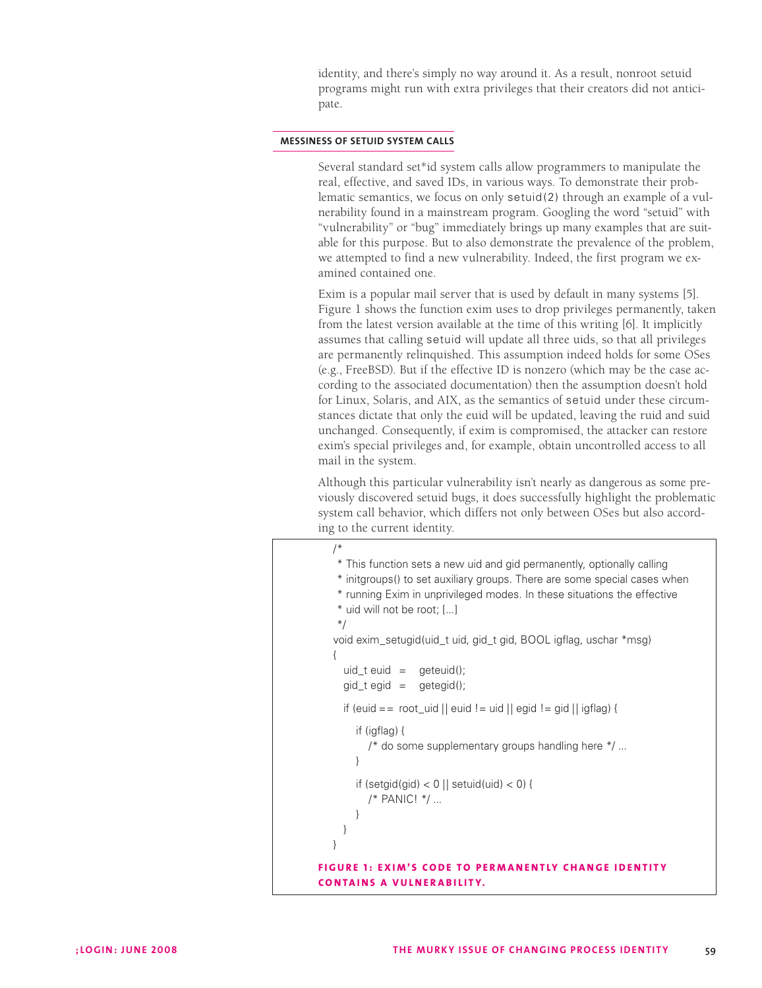identity, and there's simply no way around it. As a result, nonroot setuid programs might run with extra privileges that their creators did not anticipate.

#### **messiness of setuid system calls**

Several standard set\*id system calls allow programmers to manipulate the real, effective, and saved IDs, in various ways. To demonstrate their problematic semantics, we focus on only setuid(2) through an example of a vulnerability found in a mainstream program. Googling the word "setuid" with "vulnerability" or "bug" immediately brings up many examples that are suitable for this purpose. But to also demonstrate the prevalence of the problem, we attempted to find a new vulnerability. Indeed, the first program we examined contained one.

Exim is a popular mail server that is used by default in many systems [5]. Figure 1 shows the function exim uses to drop privileges permanently, taken from the latest version available at the time of this writing [6]. It implicitly assumes that calling setuid will update all three uids, so that all privileges are permanently relinquished. This assumption indeed holds for some OSes (e.g., FreeBSD). But if the effective ID is nonzero (which may be the case according to the associated documentation) then the assumption doesn't hold for Linux, Solaris, and AIX, as the semantics of setuid under these circumstances dictate that only the euid will be updated, leaving the ruid and suid unchanged. Consequently, if exim is compromised, the attacker can restore exim's special privileges and, for example, obtain uncontrolled access to all mail in the system.

Although this particular vulnerability isn't nearly as dangerous as some previously discovered setuid bugs, it does successfully highlight the problematic system call behavior, which differs not only between OSes but also according to the current identity.

```
/* 
    /* This function sets a new uid and gid permanently, optionally calling 
    /* initgroups() to set auxiliary groups. There are some special cases when 
    /* running Exim in unprivileged modes. In these situations the effective 
    /* uid will not be root; [...] 
    /*/ 
   void exim_setugid(uid_t uid, gid_t gid, BOOL igflag, uschar *msg) 
   {
     uid_t \neq \text{u} \neq \text{u} = geteuid();
     gid_t egid = getegid();if (euid == root_uid || euid != uid || egid != gid || igflag) {
         if (igflag) {
            /* do some supplementary groups handling here */ ... 
         }
        if (setgid(gid) < 0 || setuid(uid) < 0) {
            /* PANIC! */ ... 
         }
     }
   }
FIGURE 1: EXIM'S CODE TO PERMANENTLY CHANGE IDENTITY
co n t a i n s a vuln e r a b i l i t y.
```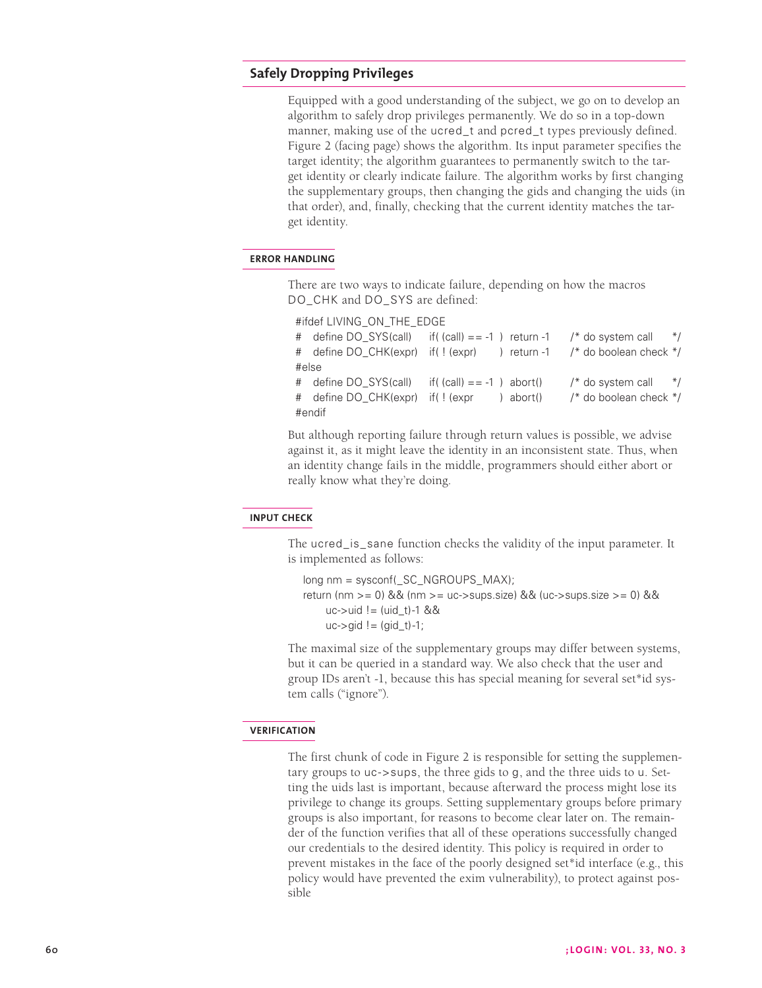# **Safely Dropping Privileges**

Equipped with a good understanding of the subject, we go on to develop an algorithm to safely drop privileges permanently. We do so in a top-down manner, making use of the ucred\_t and pcred\_t types previously defined. Figure 2 (facing page) shows the algorithm. Its input parameter specifies the target identity; the algorithm guarantees to permanently switch to the target identity or clearly indicate failure. The algorithm works by first changing the supplementary groups, then changing the gids and changing the uids (in that order), and, finally, checking that the current identity matches the target identity.

## **error handling**

There are two ways to indicate failure, depending on how the macros DO\_CHK and DO\_SYS are defined:

```
#ifdef LIVING_ON_THE_EDGE 
# define DO_SYS(call) if( (call) = -1 ) return -1 /* do system call */
# define DO_CHK(expr) if( ! (expr) ) return -1 /* do boolean check */
#else 
# define DO SYS(call) if( (call) == -1 ) abort() \prime^* do system call */
# define DO_CHK(expr) if( ! (expr ) abort() /* do boolean check */
#endif
```
But although reporting failure through return values is possible, we advise against it, as it might leave the identity in an inconsistent state. Thus, when an identity change fails in the middle, programmers should either abort or really know what they're doing.

#### **input check**

The ucred\_is\_sane function checks the validity of the input parameter. It is implemented as follows:

long nm = sysconf(\_SC\_NGROUPS\_MAX); return (nm >= 0) && (nm >= uc->sups.size) && (uc->sups.size >= 0) &&  $uc$ ->uid != (uid t)-1 &&  $uc$ - $\gamma$ gid ! = (gid t)-1;

The maximal size of the supplementary groups may differ between systems, but it can be queried in a standard way. We also check that the user and group IDs aren't -1, because this has special meaning for several set\*id system calls ("ignore").

#### **verification**

The first chunk of code in Figure 2 is responsible for setting the supplementary groups to uc->sups, the three gids to g, and the three uids to u. Setting the uids last is important, because afterward the process might lose its privilege to change its groups. Setting supplementary groups before primary groups is also important, for reasons to become clear later on. The remainder of the function verifies that all of these operations successfully changed our credentials to the desired identity. This policy is required in order to prevent mistakes in the face of the poorly designed set\*id interface (e.g., this policy would have prevented the exim vulnerability), to protect against possible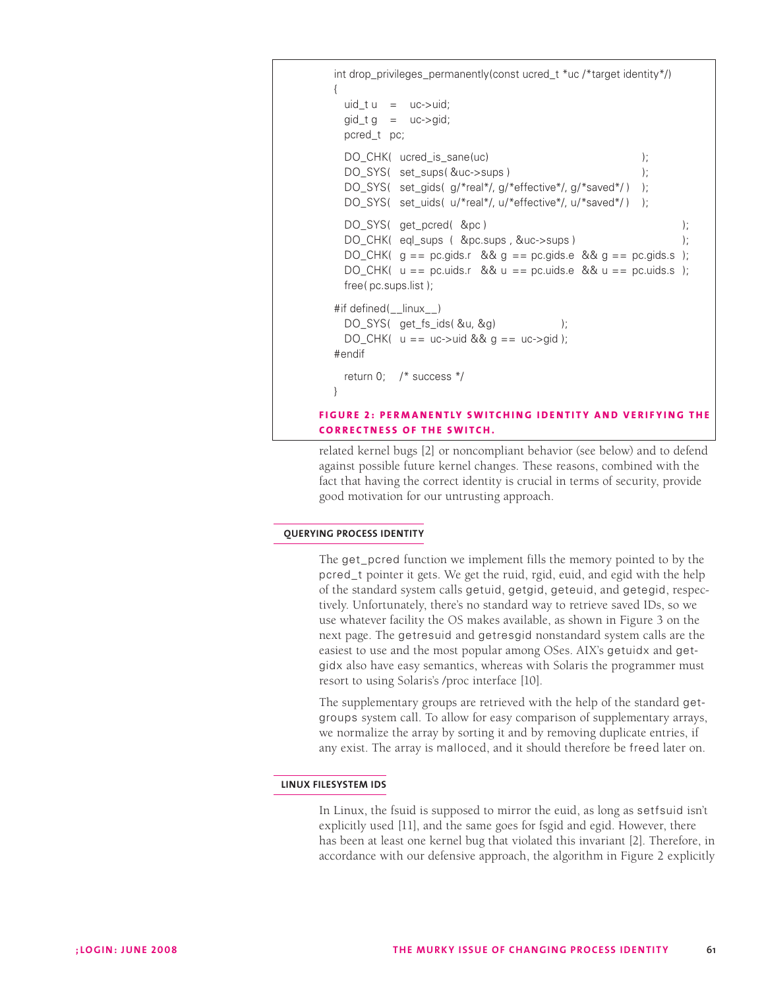```
int drop_privileges_permanently(const ucred_t *uc /*target identity*/) 
  {
    uid_t u = uc->uid;gid_t g = uc->gid;
    pcred_t pc; 
    DO_CHK( ucred_is_sane(uc) );
    DO_SYS( set_sups( &uc->sups ) ); 
    DO_SYS( set_gids( g/*real*/, g/*effective*/, g/*saved*/) );
    DO_SYS( set_uids( u/*real*/, u/*effective*/, u/*saved*/) );
    DO_SYS( get_pcred( &pc ) );
    DO_CHK( eql_sups ( &pc.sups , &uc->sups ) ); 
    DO_CHK( g = p \cdot g ids.r && g = p \cdot g ids.e && g = p \cdot g ids.s );
    DO_CHK( u == pc.uids.r && u == pc.uids.e && u == pc.uids.s ); 
    free( pc.sups.list ); 
  #if defined(__linux__) 
    DO_SYS( get_fs_ids( &u, &g) ); 
    DO_CHK( u == uc->uid & g == uc->gid);#endif 
    return 0; /* success */ 
  }
FIGURE 2: PERMANENTLY SWITCHING IDENTITY AND VERIFYING THE
CORRECTNESS OF THE SWITCH.
```
related kernel bugs [2] or noncompliant behavior (see below) and to defend against possible future kernel changes. These reasons, combined with the fact that having the correct identity is crucial in terms of security, provide good motivation for our untrusting approach.

# **querying process identity**

The get\_pcred function we implement fills the memory pointed to by the pcred\_t pointer it gets. We get the ruid, rgid, euid, and egid with the help of the standard system calls getuid, getgid, geteuid, and getegid, respectively. Unfortunately, there's no standard way to retrieve saved IDs, so we use whatever facility the OS makes available, as shown in Figure 3 on the next page. The getresuid and getresgid nonstandard system calls are the easiest to use and the most popular among OSes. AIX's getuidx and getgidx also have easy semantics, whereas with Solaris the programmer must resort to using Solaris's /proc interface [10].

The supplementary groups are retrieved with the help of the standard getgroups system call. To allow for easy comparison of supplementary arrays, we normalize the array by sorting it and by removing duplicate entries, if any exist. The array is malloced, and it should therefore be freed later on.

# **linux filesystem ids**

In Linux, the fsuid is supposed to mirror the euid, as long as setfsuid isn't explicitly used [11], and the same goes for fsgid and egid. However, there has been at least one kernel bug that violated this invariant [2]. Therefore, in accordance with our defensive approach, the algorithm in Figure 2 explicitly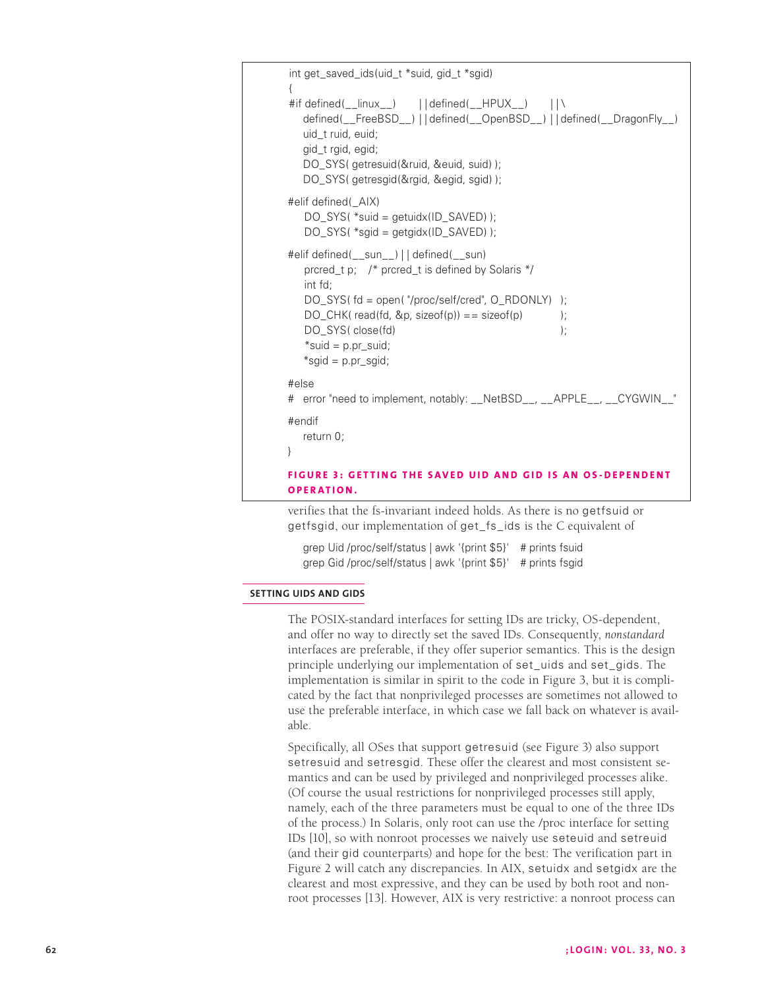```
int get_saved_ids(uid_t *suid, gid_t *sgid) 
{
#if defined(__linux__) | | defined(__HPUX__) | | \
  defined(__FreeBSD__) | | defined(__OpenBSD__) | | defined(__DragonFly__) 
  uid_t ruid, euid; 
  gid_t rgid, egid; 
  DO_SYS( getresuid(&ruid, &euid, suid) ); 
  DO_SYS( getresgid(&rgid, &egid, sgid) ); 
#elif defined(_AIX) 
   DO_SYS( *suid = getuidx(ID_SAVED) );
   DO_SYS( *sgid = getgidx(ID_SAVED) ); 
#elif defined(__sun__) | | defined(__sun) 
   prcred_t p; /* prcred_t is defined by Solaris */ 
   int fd; 
   DO_SYS( fd = open( "/proc/self/cred", O_RDONLY) ); 
   DO_CHK( read(fd, \&p, sizeof(p)) == sizeof(p) );
   DO_SYS( close(fd) );
   *suid = p.pr_suid;
   *sgid = p.pr_sgid; 
#else 
# error "need to implement, notably: __NetBSD__, __APPLE__, __CYGWIN__" 
#endif 
  return 0; 
}
FIGURE 3: GETTING THE SAVED UID AND GID IS AN OS-DEPENDENT
op e r a t i o n .
```
verifies that the fs-invariant indeed holds. As there is no getfsuid or getfsgid, our implementation of get\_fs\_ids is the C equivalent of

grep Uid /proc/self/status | awk '{print \$5}' # prints fsuid grep Gid /proc/self/status | awk '{print \$5}' # prints fsgid

## **setting uids and gids**

The POSIX-standard interfaces for setting IDs are tricky, OS-dependent, and offer no way to directly set the saved IDs. Consequently, *nonstandard* interfaces are preferable, if they offer superior semantics. This is the design principle underlying our implementation of set\_uids and set\_gids. The implementation is similar in spirit to the code in Figure 3, but it is complicated by the fact that nonprivileged processes are sometimes not allowed to use the preferable interface, in which case we fall back on whatever is available.

Specifically, all OSes that support getresuid (see Figure 3) also support setresuid and setresgid. These offer the clearest and most consistent semantics and can be used by privileged and nonprivileged processes alike. (Of course the usual restrictions for nonprivileged processes still apply, namely, each of the three parameters must be equal to one of the three IDs of the process.) In Solaris, only root can use the /proc interface for setting IDs [10], so with nonroot processes we naively use seteuid and setreuid (and their gid counterparts) and hope for the best: The verification part in Figure 2 will catch any discrepancies. In AIX, setuidx and setgidx are the clearest and most expressive, and they can be used by both root and nonroot processes [13]. However, AIX is very restrictive: a nonroot process can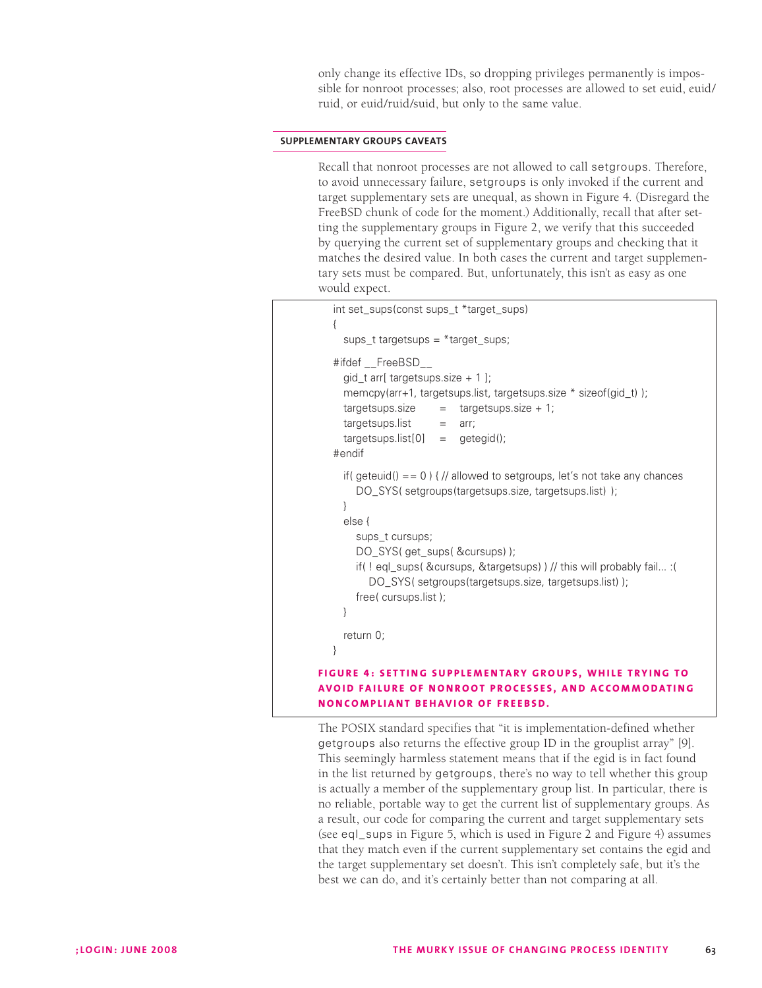only change its effective IDs, so dropping privileges permanently is impossible for nonroot processes; also, root processes are allowed to set euid, euid/ ruid, or euid/ruid/suid, but only to the same value.

#### **supplementary groups caveats**

Recall that nonroot processes are not allowed to call setgroups. Therefore, to avoid unnecessary failure, setgroups is only invoked if the current and target supplementary sets are unequal, as shown in Figure 4. (Disregard the FreeBSD chunk of code for the moment.) Additionally, recall that after setting the supplementary groups in Figure 2, we verify that this succeeded by querying the current set of supplementary groups and checking that it matches the desired value. In both cases the current and target supplementary sets must be compared. But, unfortunately, this isn't as easy as one would expect.

```
int set_sups(const sups_t *target_sups)
   {
     sups t targetsups = *target sups;
   #ifdef FreeBSD
     qid t arr[ targetsups.size + 1 ];
     memcpy(arr+1, targetsups.list, targetsups.size * sizeof(gid_t) ); 
     taretsups.size = targetsups.size + 1;targetsups.list = arr;
     taretsups. list[0] = qeteqid();
   #endif 
     if( geteuid() == 0 ) { // allowed to setgroups, let's not take any chances
       DO_SYS( setgroups(targetsups.size, targetsups.list) );
     }
     else {
       sups t cursups;
       DO_SYS( get_sups( &cursups) );
       if( ! eql_sups( &cursups, &targetsups) ) // this will probably fail... :(
           DO_SYS( setgroups(targetsups.size, targetsups.list) ); 
        free( cursups.list ); 
     }
     return 0; 
  }
FIGURE 4: SETTING SUPPLEMENTARY GROUPS, WHILE TRYING TO
avo i d fa i lu r e of n o n r oo t p r oc e s s e s , a n d acco m m o d a t i n g 
n o nco m pl i a n t b e h av i o r of F r e e BSD.
```
The POSIX standard specifies that "it is implementation-defined whether getgroups also returns the effective group ID in the grouplist array" [9]. This seemingly harmless statement means that if the egid is in fact found in the list returned by getgroups, there's no way to tell whether this group is actually a member of the supplementary group list. In particular, there is no reliable, portable way to get the current list of supplementary groups. As a result, our code for comparing the current and target supplementary sets (see eql\_sups in Figure 5, which is used in Figure 2 and Figure 4) assumes that they match even if the current supplementary set contains the egid and the target supplementary set doesn't. This isn't completely safe, but it's the best we can do, and it's certainly better than not comparing at all.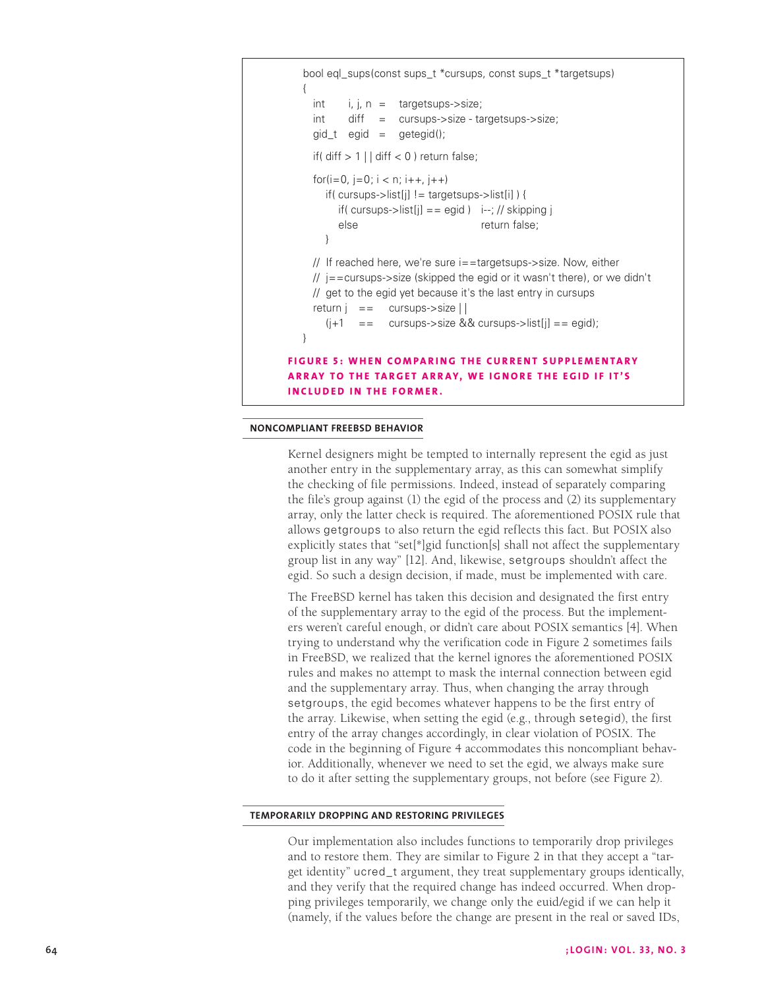```
bool eql_sups(const sups_t *cursups, const sups_t *targetsups) 
  {
    int i, j, n = \text{targetsups->size};int diff = cursups->size - targetsups->size; 
    gid_t egid = getegid();
    if( diff > 1 | diff < 0 ) return false;
    for(i=0, j=0; i < n; i++, j++)
       if( cursups->list[j] != targetsups->list[i] ) {
         if( cursups->list[j] == egid ) i--; // skipping j
         else return false;
        }
    // If reached here, we're sure i==targetsups->size. Now, either 
    // j==cursups->size (skipped the egid or it wasn't there), or we didn't 
    // get to the egid yet because it's the last entry in cursups 
    return j = cursups->\text{size} | |
       (i+1) == cursups->size && cursups->list[j] == egid);
   }
FIGURE 5: WHEN COMPARING THE CURRENT SUPPLEMENTARY
ARRAY TO THE TARGET ARRAY, WE IGNORE THE EGID IF IT'S
INCLUDED IN THE FORMER.
```
#### **noncompliant freebsd behavior**

Kernel designers might be tempted to internally represent the egid as just another entry in the supplementary array, as this can somewhat simplify the checking of file permissions. Indeed, instead of separately comparing the file's group against (1) the egid of the process and (2) its supplementary array, only the latter check is required. The aforementioned POSIX rule that allows getgroups to also return the egid reflects this fact. But POSIX also explicitly states that "set[\*]gid function[s] shall not affect the supplementary group list in any way" [12]. And, likewise, setgroups shouldn't affect the egid. So such a design decision, if made, must be implemented with care.

The FreeBSD kernel has taken this decision and designated the first entry of the supplementary array to the egid of the process. But the implementers weren't careful enough, or didn't care about POSIX semantics [4]. When trying to understand why the verification code in Figure 2 sometimes fails in FreeBSD, we realized that the kernel ignores the aforementioned POSIX rules and makes no attempt to mask the internal connection between egid and the supplementary array. Thus, when changing the array through setgroups, the egid becomes whatever happens to be the first entry of the array. Likewise, when setting the egid (e.g., through setegid), the first entry of the array changes accordingly, in clear violation of POSIX. The code in the beginning of Figure 4 accommodates this noncompliant behavior. Additionally, whenever we need to set the egid, we always make sure to do it after setting the supplementary groups, not before (see Figure 2).

#### **temporarily dropping and restoring privileges**

Our implementation also includes functions to temporarily drop privileges and to restore them. They are similar to Figure 2 in that they accept a "target identity" ucred\_t argument, they treat supplementary groups identically, and they verify that the required change has indeed occurred. When dropping privileges temporarily, we change only the euid/egid if we can help it (namely, if the values before the change are present in the real or saved IDs,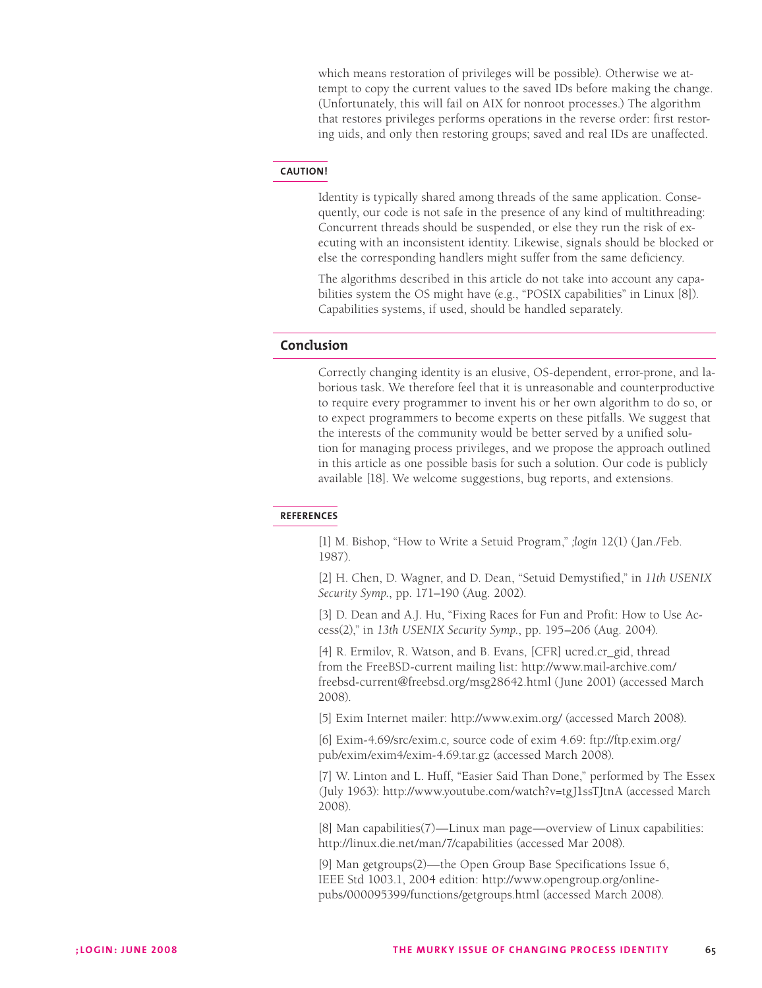which means restoration of privileges will be possible). Otherwise we attempt to copy the current values to the saved IDs before making the change. (Unfortunately, this will fail on AIX for nonroot processes.) The algorithm that restores privileges performs operations in the reverse order: first restoring uids, and only then restoring groups; saved and real IDs are unaffected.

#### **caution!**

Identity is typically shared among threads of the same application. Consequently, our code is not safe in the presence of any kind of multithreading: Concurrent threads should be suspended, or else they run the risk of executing with an inconsistent identity. Likewise, signals should be blocked or else the corresponding handlers might suffer from the same deficiency.

The algorithms described in this article do not take into account any capabilities system the OS might have (e.g., "POSIX capabilities" in Linux [8]). Capabilities systems, if used, should be handled separately.

# **Conclusion**

Correctly changing identity is an elusive, OS-dependent, error-prone, and laborious task. We therefore feel that it is unreasonable and counterproductive to require every programmer to invent his or her own algorithm to do so, or to expect programmers to become experts on these pitfalls. We suggest that the interests of the community would be better served by a unified solution for managing process privileges, and we propose the approach outlined in this article as one possible basis for such a solution. Our code is publicly available [18]. We welcome suggestions, bug reports, and extensions.

# **references**

[1] M. Bishop, "How to Write a Setuid Program," *;login* 12(1) (Jan./Feb. 1987).

[2] H. Chen, D. Wagner, and D. Dean, "Setuid Demystified," in *11th USENIX Security Symp.*, pp. 171–190 (Aug. 2002).

[3] D. Dean and A.J. Hu, "Fixing Races for Fun and Profit: How to Use Access(2)," in *13th USENIX Security Symp.*, pp. 195–206 (Aug. 2004).

[4] R. Ermilov, R. Watson, and B. Evans, [CFR] ucred.cr\_gid, thread from the FreeBSD-current mailing list: http://www.mail-archive.com/ freebsd-current@freebsd.org/msg28642.html (June 2001) (accessed March 2008).

[5] Exim Internet mailer: http://www.exim.org/ (accessed March 2008).

[6] Exim-4.69/src/exim.c*,* source code of exim 4.69: ftp://ftp.exim.org/ pub/exim/exim4/exim-4.69.tar.gz (accessed March 2008).

[7] W. Linton and L. Huff, "Easier Said Than Done," performed by The Essex *(*July 1963): http://www.youtube.com/watch?v=tgJ1ssTJtnA (accessed March 2008).

[8] Man capabilities(7)—Linux man page—overview of Linux capabilities: http://linux.die.net/man/7/capabilities (accessed Mar 2008).

[9] Man getgroups(2)—the Open Group Base Specifications Issue 6, IEEE Std 1003.1, 2004 edition: http://www.opengroup.org/onlinepubs/000095399/functions/getgroups.html (accessed March 2008).